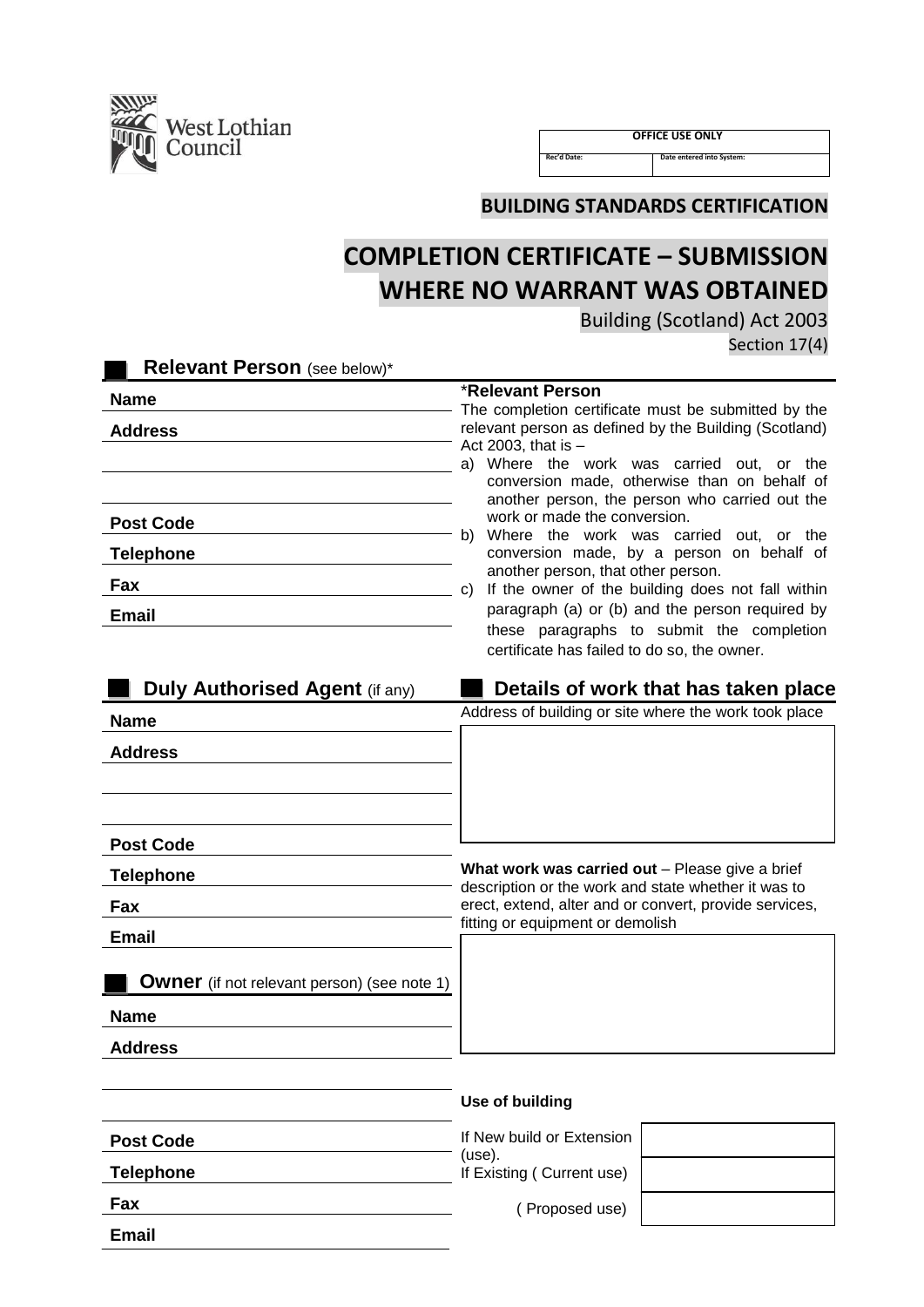

**Fax**

**Email**

 **OFFICE USE ONLY**

**Rec'd Date: Date entered into System:**

**BUILDING STANDARDS CERTIFICATION**

# **COMPLETION CERTIFICATE – SUBMISSION WHERE NO WARRANT WAS OBTAINED**

Building (Scotland) Act 2003

Section 17(4)

| <b>Relevant Person</b> (see below)*                |                                                                                                                                                                                                                                                                                           |
|----------------------------------------------------|-------------------------------------------------------------------------------------------------------------------------------------------------------------------------------------------------------------------------------------------------------------------------------------------|
| <b>Name</b>                                        | <b>*Relevant Person</b>                                                                                                                                                                                                                                                                   |
| <b>Address</b>                                     | The completion certificate must be submitted by the<br>relevant person as defined by the Building (Scotland)<br>Act 2003, that is $-$<br>Where the work was carried out, or the<br>a) -<br>conversion made, otherwise than on behalf of<br>another person, the person who carried out the |
| <b>Post Code</b><br><b>Telephone</b>               | work or made the conversion.<br>Where the work was carried out, or the<br>b)<br>conversion made, by a person on behalf of                                                                                                                                                                 |
| Fax                                                | another person, that other person.<br>If the owner of the building does not fall within<br>C)                                                                                                                                                                                             |
| <b>Email</b>                                       | paragraph (a) or (b) and the person required by<br>these paragraphs to submit the completion<br>certificate has failed to do so, the owner.                                                                                                                                               |
| <b>Duly Authorised Agent (if any)</b>              | Details of work that has taken place                                                                                                                                                                                                                                                      |
| <b>Name</b>                                        | Address of building or site where the work took place                                                                                                                                                                                                                                     |
| <b>Address</b>                                     |                                                                                                                                                                                                                                                                                           |
| <b>Post Code</b>                                   |                                                                                                                                                                                                                                                                                           |
| <b>Telephone</b>                                   | What work was carried out - Please give a brief<br>description or the work and state whether it was to                                                                                                                                                                                    |
| Fax                                                | erect, extend, alter and or convert, provide services,                                                                                                                                                                                                                                    |
| <b>Email</b>                                       | fitting or equipment or demolish                                                                                                                                                                                                                                                          |
| <b>Owner</b> (if not relevant person) (see note 1) |                                                                                                                                                                                                                                                                                           |
| <b>Name</b>                                        |                                                                                                                                                                                                                                                                                           |
| <b>Address</b>                                     |                                                                                                                                                                                                                                                                                           |
|                                                    | Use of building                                                                                                                                                                                                                                                                           |
| <b>Post Code</b>                                   | If New build or Extension<br>(use).                                                                                                                                                                                                                                                       |
| <b>Telephone</b>                                   | If Existing (Current use)                                                                                                                                                                                                                                                                 |

( Proposed use)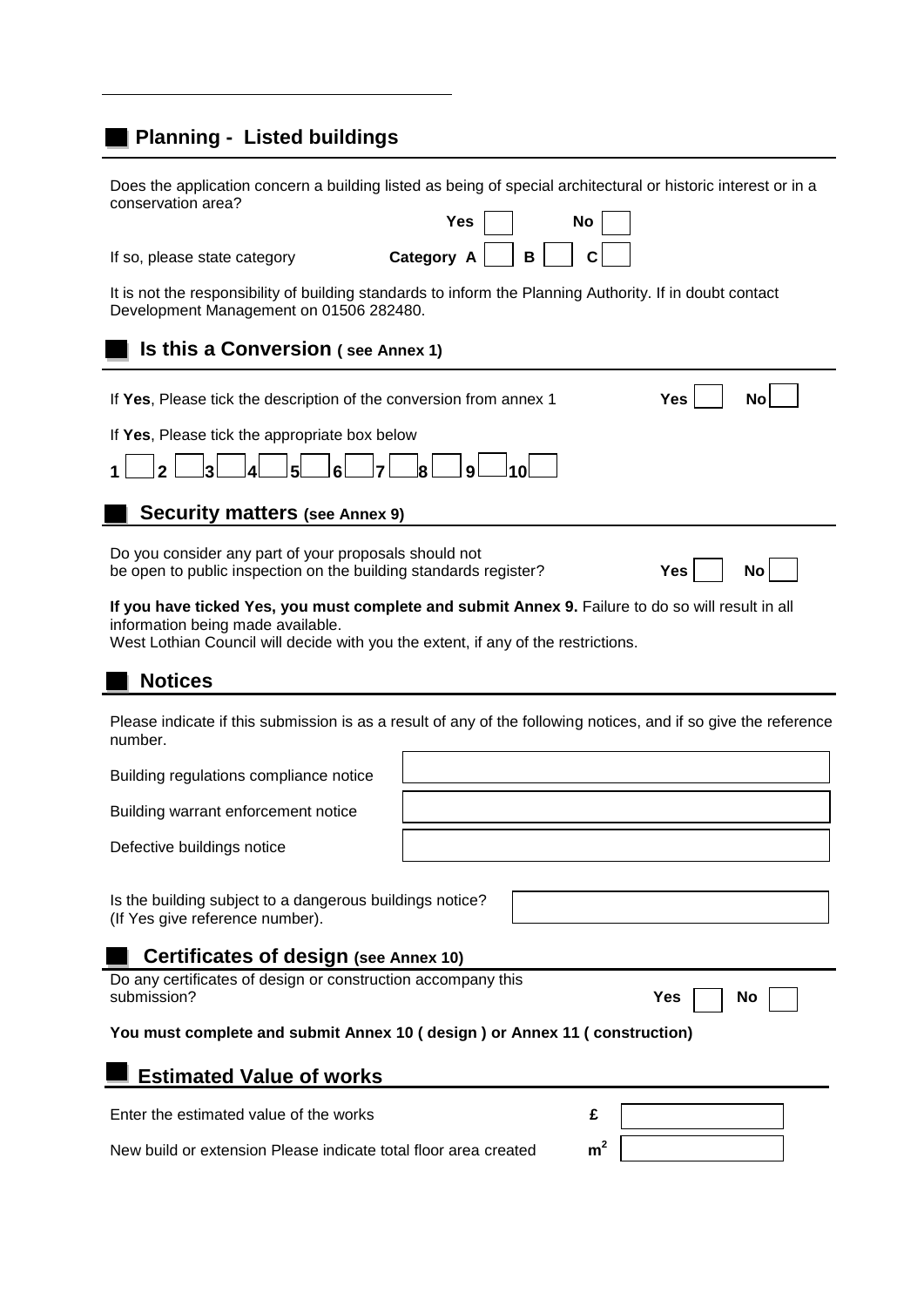# **Planning - Listed buildings**

| conservation area?                                                                                                                                                                                                          | Does the application concern a building listed as being of special architectural or historic interest or in a<br><b>Yes</b><br>No |  |  |  |
|-----------------------------------------------------------------------------------------------------------------------------------------------------------------------------------------------------------------------------|-----------------------------------------------------------------------------------------------------------------------------------|--|--|--|
| If so, please state category                                                                                                                                                                                                | Category A<br>B                                                                                                                   |  |  |  |
| It is not the responsibility of building standards to inform the Planning Authority. If in doubt contact<br>Development Management on 01506 282480.                                                                         |                                                                                                                                   |  |  |  |
| <b>Is this a Conversion (see Annex 1)</b>                                                                                                                                                                                   |                                                                                                                                   |  |  |  |
| If Yes, Please tick the description of the conversion from annex 1                                                                                                                                                          | Yes<br>No                                                                                                                         |  |  |  |
| If Yes, Please tick the appropriate box below<br>8<br>9<br>10 I                                                                                                                                                             |                                                                                                                                   |  |  |  |
| <b>Security matters (see Annex 9)</b>                                                                                                                                                                                       |                                                                                                                                   |  |  |  |
| Do you consider any part of your proposals should not<br>be open to public inspection on the building standards register?                                                                                                   | Yes<br>No                                                                                                                         |  |  |  |
| If you have ticked Yes, you must complete and submit Annex 9. Failure to do so will result in all<br>information being made available.<br>West Lothian Council will decide with you the extent, if any of the restrictions. |                                                                                                                                   |  |  |  |
| <b>Notices</b>                                                                                                                                                                                                              |                                                                                                                                   |  |  |  |
| number.                                                                                                                                                                                                                     | Please indicate if this submission is as a result of any of the following notices, and if so give the reference                   |  |  |  |
| Building regulations compliance notice                                                                                                                                                                                      |                                                                                                                                   |  |  |  |
| Building warrant enforcement notice                                                                                                                                                                                         |                                                                                                                                   |  |  |  |
| Defective buildings notice                                                                                                                                                                                                  |                                                                                                                                   |  |  |  |
| Is the building subject to a dangerous buildings notice?<br>(If Yes give reference number).                                                                                                                                 |                                                                                                                                   |  |  |  |
| Certificates of design (see Annex 10)                                                                                                                                                                                       |                                                                                                                                   |  |  |  |
| Do any certificates of design or construction accompany this<br>submission?<br>Yes<br>No                                                                                                                                    |                                                                                                                                   |  |  |  |
| You must complete and submit Annex 10 (design) or Annex 11 (construction)                                                                                                                                                   |                                                                                                                                   |  |  |  |
| <b>Estimated Value of works</b>                                                                                                                                                                                             |                                                                                                                                   |  |  |  |
| Enter the estimated value of the works                                                                                                                                                                                      | £                                                                                                                                 |  |  |  |
| m <sup>2</sup><br>New build or extension Please indicate total floor area created                                                                                                                                           |                                                                                                                                   |  |  |  |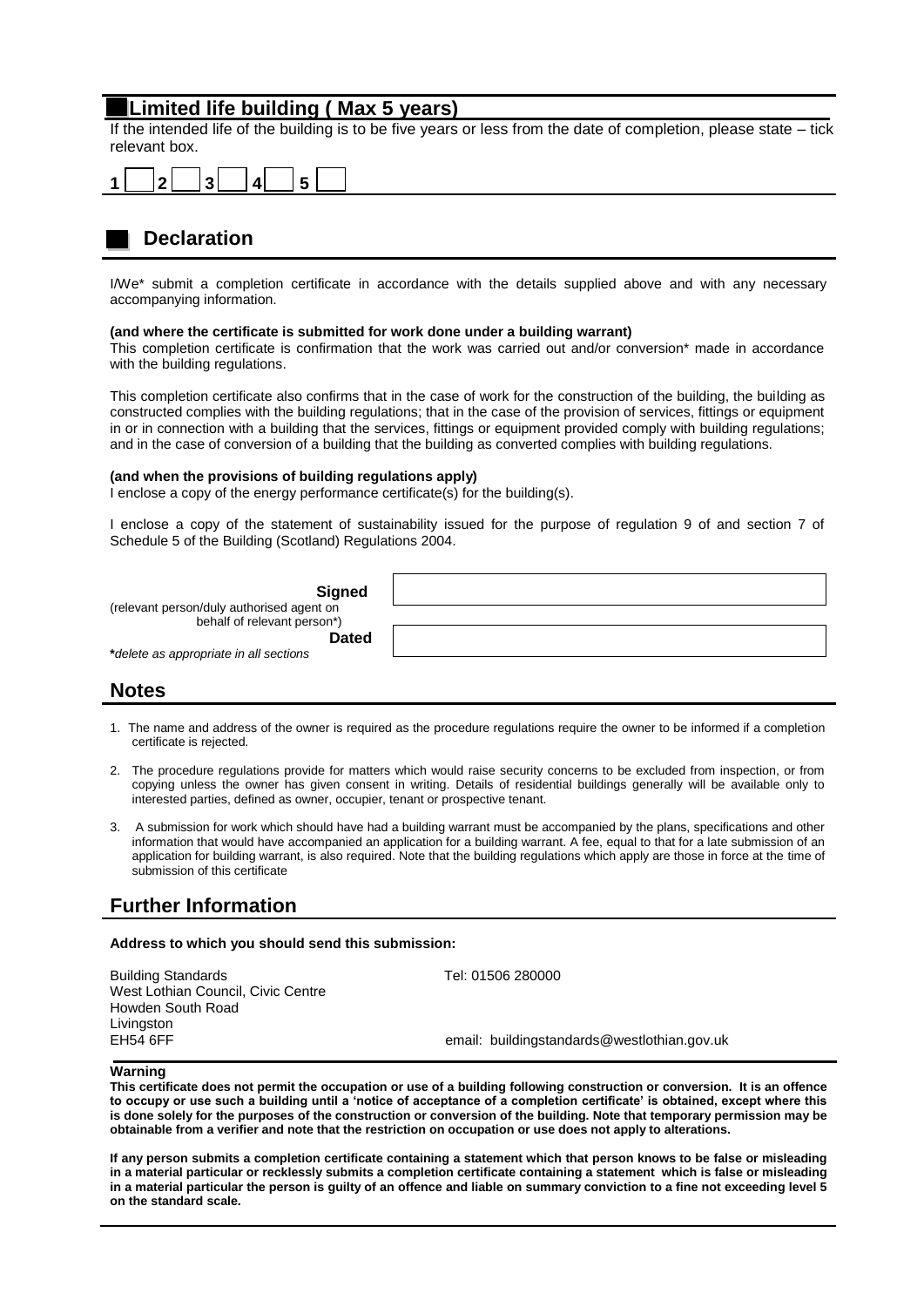## **Limited life building ( Max 5 years)**

If the intended life of the building is to be five years or less from the date of completion, please state – tick relevant box.



# **Declaration**

I/We\* submit a completion certificate in accordance with the details supplied above and with any necessary accompanying information.

#### **(and where the certificate is submitted for work done under a building warrant)**

This completion certificate is confirmation that the work was carried out and/or conversion\* made in accordance with the building regulations.

This completion certificate also confirms that in the case of work for the construction of the building, the building as constructed complies with the building regulations; that in the case of the provision of services, fittings or equipment in or in connection with a building that the services, fittings or equipment provided comply with building regulations; and in the case of conversion of a building that the building as converted complies with building regulations.

### **(and when the provisions of building regulations apply)**

I enclose a copy of the energy performance certificate(s) for the building(s).

I enclose a copy of the statement of sustainability issued for the purpose of regulation 9 of and section 7 of Schedule 5 of the Building (Scotland) Regulations 2004.

| <b>Signed</b>                                                            |  |
|--------------------------------------------------------------------------|--|
| (relevant person/duly authorised agent on<br>behalf of relevant person*) |  |
| <b>Dated</b>                                                             |  |
| *delete as appropriate in all sections                                   |  |

### **Notes**

- 1. The name and address of the owner is required as the procedure regulations require the owner to be informed if a completion certificate is rejected.
- 2. The procedure regulations provide for matters which would raise security concerns to be excluded from inspection, or from copying unless the owner has given consent in writing. Details of residential buildings generally will be available only to interested parties, defined as owner, occupier, tenant or prospective tenant.
- 3. A submission for work which should have had a building warrant must be accompanied by the plans, specifications and other information that would have accompanied an application for a building warrant. A fee, equal to that for a late submission of an application for building warrant, is also required. Note that the building regulations which apply are those in force at the time of submission of this certificate

## **Further Information**

#### **Address to which you should send this submission:**

Building Standards Tel: 01506 280000 West Lothian Council, Civic Centre Howden South Road Livingston

EH54 6FF email: buildingstandards@westlothian.gov.uk

### **Warning**

**This certificate does not permit the occupation or use of a building following construction or conversion. It is an offence to occupy or use such a building until a 'notice of acceptance of a completion certificate' is obtained, except where this is done solely for the purposes of the construction or conversion of the building. Note that temporary permission may be obtainable from a verifier and note that the restriction on occupation or use does not apply to alterations.**

**If any person submits a completion certificate containing a statement which that person knows to be false or misleading in a material particular or recklessly submits a completion certificate containing a statement which is false or misleading in a material particular the person is guilty of an offence and liable on summary conviction to a fine not exceeding level 5 on the standard scale.**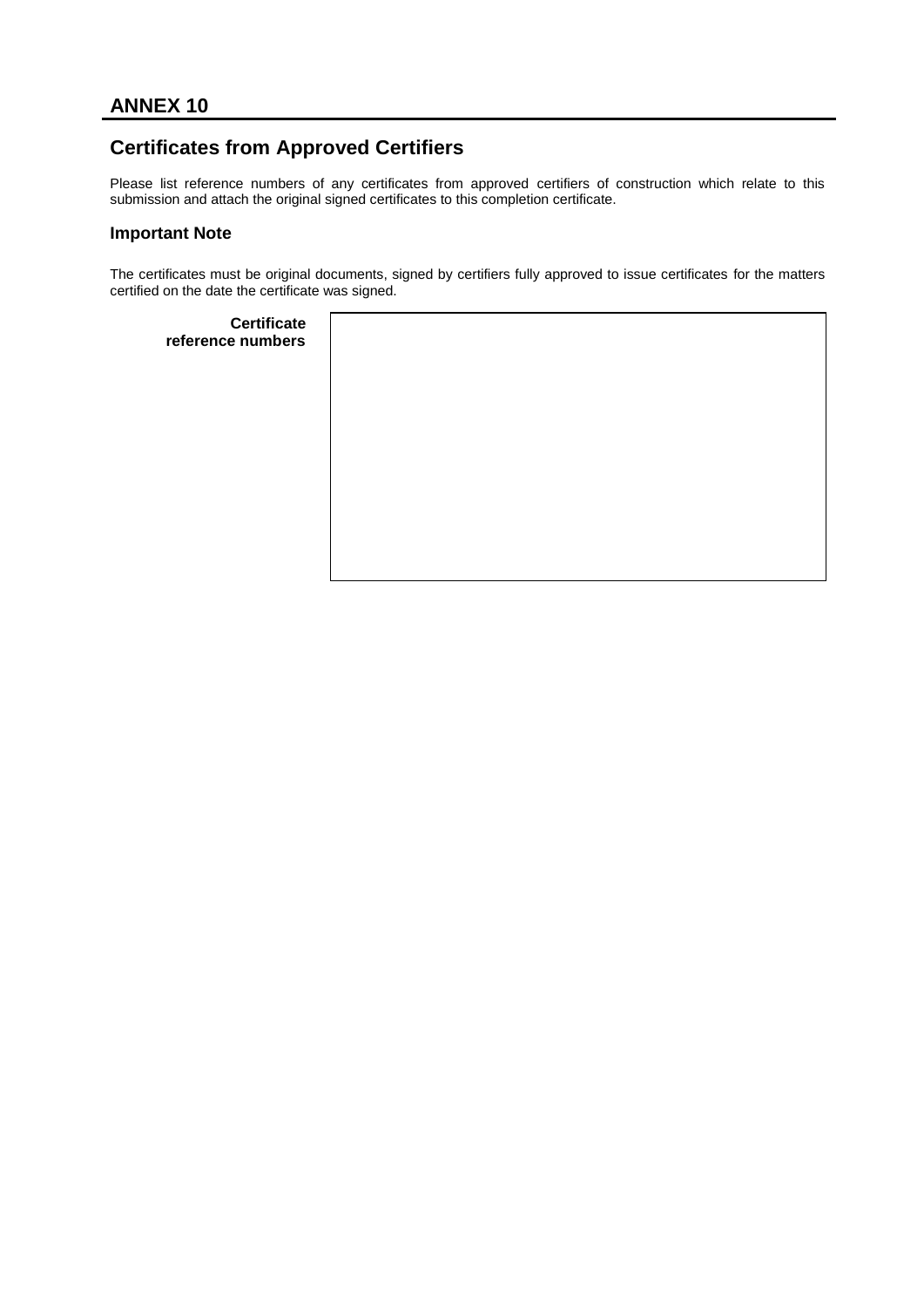# **Certificates from Approved Certifiers**

Please list reference numbers of any certificates from approved certifiers of construction which relate to this submission and attach the original signed certificates to this completion certificate.

## **Important Note**

The certificates must be original documents, signed by certifiers fully approved to issue certificates for the matters certified on the date the certificate was signed.

| <b>Certificate</b><br>reference numbers |  |
|-----------------------------------------|--|
|                                         |  |
|                                         |  |
|                                         |  |
|                                         |  |
|                                         |  |
|                                         |  |
|                                         |  |